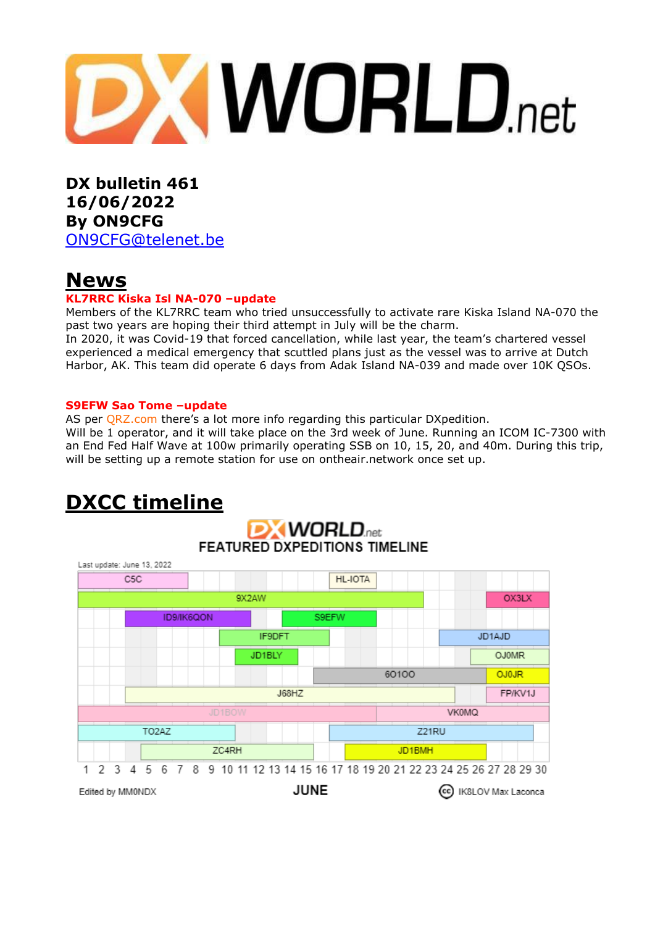

**DX bulletin 461 16/06/2022 By ON9CFG** [ON9CFG@telenet.be](mailto:ON9CFG@telenet.be)

# **News**

### **KL7RRC Kiska Isl NA-070 –update**

Members of the KL7RRC team who tried unsuccessfully to activate rare Kiska Island NA-070 the past two years are hoping their third attempt in July will be the charm.

In 2020, it was Covid-19 that forced cancellation, while last year, the team's chartered vessel experienced a medical emergency that scuttled plans just as the vessel was to arrive at Dutch Harbor, AK. This team did operate 6 days from Adak Island NA-039 and made over 10K QSOs.

#### **S9EFW Sao Tome –update**

AS per [QRZ.com](https://www.qrz.com/db/S9EFW) there's a lot more info regarding this particular DXpedition.

Will be 1 operator, and it will take place on the 3rd week of June. Running an ICOM IC-7300 with an End Fed Half Wave at 100w primarily operating SSB on 10, 15, 20, and 40m. During this trip, will be setting up a remote station for use on [ontheair.network](https://ontheair.network/) once set up.

#### **DXCC timelineDX WORLD FEATURED DXPEDITIONS TIMELINE** Last update: June 13, 2022  $C5C$ **HL-IOTA** 9X2AW OX3LX ID9/IK6QON S9EFW IF9DFT JD1AJD JD1BLY **OJ0MR** 60100 **OJOJR J68H7** FP/KV1J **VK0MQ** TO<sub>2</sub>AZ Z21RU ZC4RH JD1BMH 1 2 3 4 5 6 7 8 9 10 11 12 13 14 15 16 17 18 19 20 21 22 23 24 25 26 27 28 29 30 **JUNE** Edited by MM0NDX (cc) IK8LOV Max Laconca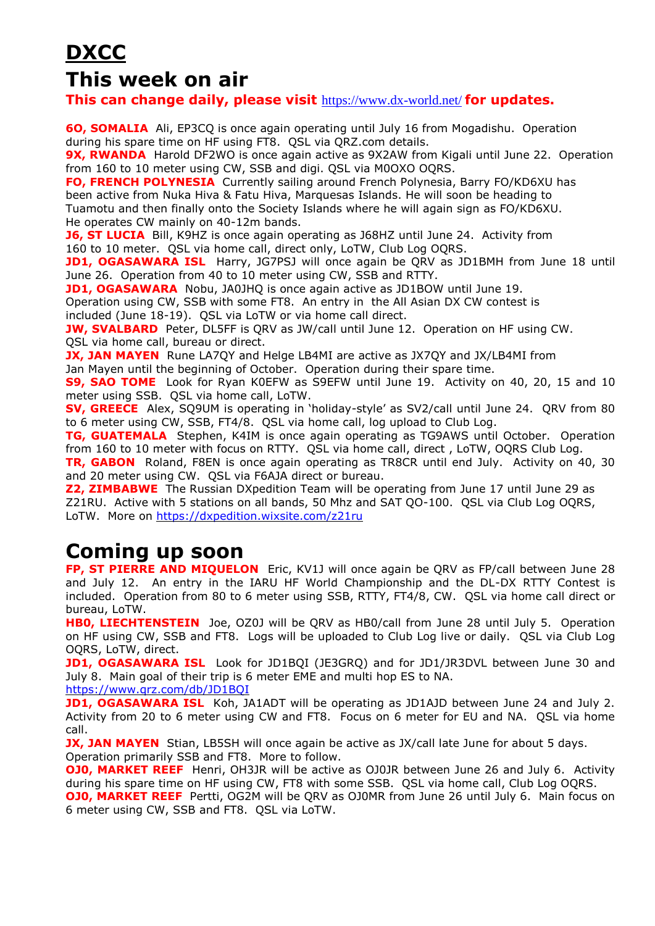# **DXCC**

# **This week on air**

**This can change daily, please visit** <https://www.dx-world.net/> **for updates.**

**6O, SOMALIA** Ali, EP3CQ is once again operating until July 16 from Mogadishu. Operation during his spare time on HF using FT8. QSL via QRZ.com details.

**9X, RWANDA** Harold DF2WO is once again active as 9X2AW from Kigali until June 22. Operation from 160 to 10 meter using CW, SSB and digi. QSL via M0OXO OQRS.

**FO, FRENCH POLYNESIA** Currently sailing around French Polynesia, Barry FO/KD6XU has been active from Nuka Hiva & Fatu Hiva, Marquesas Islands. He will soon be heading to Tuamotu and then finally onto the Society Islands where he will again sign as FO/KD6XU. He operates CW mainly on 40-12m bands.

**J6, ST LUCIA** Bill, K9HZ is once again operating as J68HZ until June 24. Activity from 160 to 10 meter. QSL via home call, direct only, LoTW, Club Log OQRS.

**JD1, OGASAWARA ISL** Harry, JG7PSJ will once again be QRV as JD1BMH from June 18 until June 26. Operation from 40 to 10 meter using CW, SSB and RTTY.

**JD1, OGASAWARA** Nobu, JA0JHQ is once again active as JD1BOW until June 19. Operation using CW, SSB with some FT8. An entry in the All Asian DX CW contest is

included (June 18-19). QSL via LoTW or via home call direct.

**JW, SVALBARD** Peter, DL5FF is QRV as JW/call until June 12. Operation on HF using CW. QSL via home call, bureau or direct.

**JX, JAN MAYEN** Rune LA7QY and Helge LB4MI are active as JX7QY and JX/LB4MI from Jan Mayen until the beginning of October. Operation during their spare time.

**S9, SAO TOME** Look for Ryan K0EFW as S9EFW until June 19. Activity on 40, 20, 15 and 10 meter using SSB. QSL via home call, LoTW.

**SV, GREECE** Alex, SQ9UM is operating in 'holiday-style' as SV2/call until June 24. QRV from 80 to 6 meter using CW, SSB, FT4/8. QSL via home call, log upload to Club Log.

**TG, GUATEMALA** Stephen, K4IM is once again operating as TG9AWS until October. Operation from 160 to 10 meter with focus on RTTY. QSL via home call, direct , LoTW, OQRS Club Log.

**TR, GABON** Roland, F8EN is once again operating as TR8CR until end July. Activity on 40, 30 and 20 meter using CW. QSL via F6AJA direct or bureau.

**Z2, ZIMBABWE** The Russian DXpedition Team will be operating from June 17 until June 29 as Z21RU. Active with 5 stations on all bands, 50 Mhz and SAT QO-100. QSL via Club Log OQRS, LoTW. More on<https://dxpedition.wixsite.com/z21ru>

# **Coming up soon**

**FP, ST PIERRE AND MIQUELON** Eric, KV1J will once again be QRV as FP/call between June 28 and July 12. An entry in the IARU HF World Championship and the DL-DX RTTY Contest is included. Operation from 80 to 6 meter using SSB, RTTY, FT4/8, CW. QSL via home call direct or bureau, LoTW.

**HB0, LIECHTENSTEIN** Joe, OZ0J will be QRV as HB0/call from June 28 until July 5. Operation on HF using CW, SSB and FT8. Logs will be uploaded to Club Log live or daily. QSL via Club Log OQRS, LoTW, direct.

**JD1, OGASAWARA ISL** Look for JD1BQI (JE3GRQ) and for JD1/JR3DVL between June 30 and July 8. Main goal of their trip is 6 meter EME and multi hop ES to NA.

<https://www.qrz.com/db/JD1BQI>

**JD1, OGASAWARA ISL** Koh, JA1ADT will be operating as JD1AJD between June 24 and July 2. Activity from 20 to 6 meter using CW and FT8. Focus on 6 meter for EU and NA. QSL via home call.

**JX, JAN MAYEN** Stian, LB5SH will once again be active as JX/call late June for about 5 days. Operation primarily SSB and FT8. More to follow.

**OJ0, MARKET REEF** Henri, OH3JR will be active as OJ0JR between June 26 and July 6. Activity during his spare time on HF using CW, FT8 with some SSB. QSL via home call, Club Log OQRS.

**OJ0, MARKET REEF** Pertti, OG2M will be QRV as OJ0MR from June 26 until July 6. Main focus on 6 meter using CW, SSB and FT8. QSL via LoTW.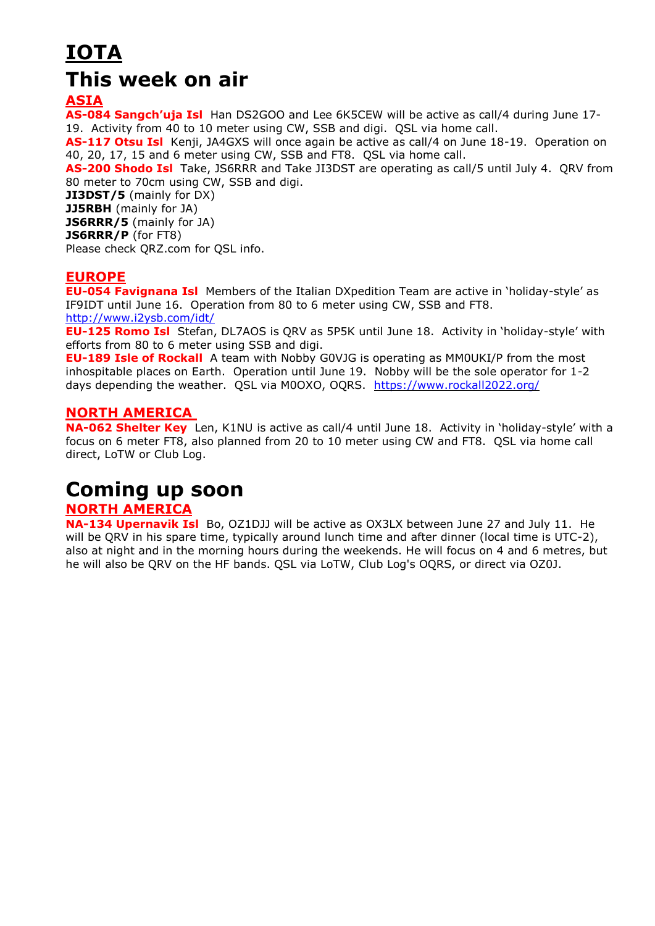# **IOTA This week on air**

**ASIA**

**AS-084 Sangch'uja Isl** Han DS2GOO and Lee 6K5CEW will be active as call/4 during June 17- 19. Activity from 40 to 10 meter using CW, SSB and digi. QSL via home call.

**AS-117 Otsu Isl** Kenji, JA4GXS will once again be active as call/4 on June 18-19. Operation on 40, 20, 17, 15 and 6 meter using CW, SSB and FT8. QSL via home call.

**AS-200 Shodo Isl** Take, JS6RRR and Take JI3DST are operating as call/5 until July 4. QRV from 80 meter to 70cm using CW, SSB and digi.

**JI3DST/5** (mainly for DX) **JJ5RBH** (mainly for JA) **JS6RRR/5** (mainly for JA)

**JS6RRR/P** (for FT8)

Please check QRZ.com for QSL info.

### **EUROPE**

**EU-054 Favignana Isl** Members of the Italian DXpedition Team are active in 'holiday-style' as IF9IDT until June 16. Operation from 80 to 6 meter using CW, SSB and FT8. <http://www.i2ysb.com/idt/>

**EU-125 Romo Isl** Stefan, DL7AOS is QRV as 5P5K until June 18. Activity in 'holiday-style' with efforts from 80 to 6 meter using SSB and digi.

**EU-189 Isle of Rockall** A team with Nobby G0VJG is operating as MM0UKI/P from the most inhospitable places on Earth. Operation until June 19. Nobby will be the sole operator for 1-2 days depending the weather. QSL via M0OXO, OQRS. <https://www.rockall2022.org/>

## **NORTH AMERICA**

**NA-062 Shelter Key** Len, K1NU is active as call/4 until June 18. Activity in 'holiday-style' with a focus on 6 meter FT8, also planned from 20 to 10 meter using CW and FT8. QSL via home call direct, LoTW or Club Log.

# **Coming up soon**

### **NORTH AMERICA**

**NA-134 Upernavik Isl** Bo, OZ1DJJ will be active as OX3LX between June 27 and July 11. He will be ORV in his spare time, typically around lunch time and after dinner (local time is UTC-2), also at night and in the morning hours during the weekends. He will focus on 4 and 6 metres, but he will also be QRV on the HF bands. QSL via LoTW, Club Log's OQRS, or direct via OZ0J.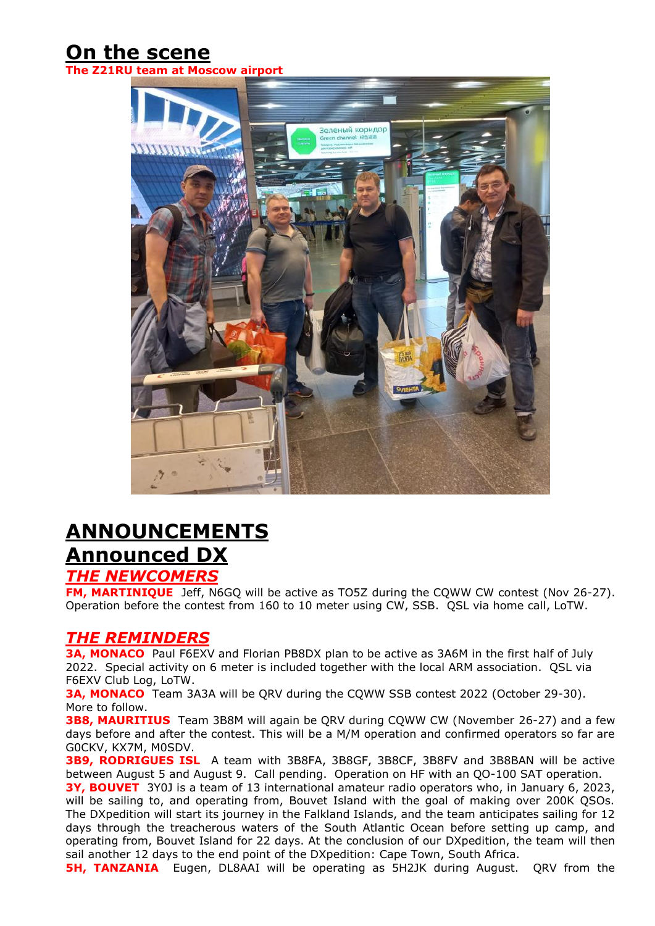# **On the scene**

**The** *Roscow* **airport** 



# **ANNOUNCEMENTS Announced DX**

## *THE NEWCOMERS*

**FM, MARTINIQUE** Jeff, N6GQ will be active as TO5Z during the CQWW CW contest (Nov 26-27). Operation before the contest from 160 to 10 meter using CW, SSB. QSL via home call, LoTW.

## *THE REMINDERS*

**3A, MONACO** Paul F6EXV and Florian PB8DX plan to be active as 3A6M in the first half of July 2022. Special activity on 6 meter is included together with the local ARM association. QSL via F6EXV Club Log, LoTW.

**3A, MONACO** Team 3A3A will be QRV during the CQWW SSB contest 2022 (October 29-30). More to follow.

**3B8, MAURITIUS** Team 3B8M will again be QRV during CQWW CW (November 26-27) and a few days before and after the contest. This will be a M/M operation and confirmed operators so far are G0CKV, KX7M, M0SDV.

**3B9, RODRIGUES ISL** A team with 3B8FA, 3B8GF, 3B8CF, 3B8FV and 3B8BAN will be active between August 5 and August 9. Call pending. Operation on HF with an QO-100 SAT operation.

**3Y, BOUVET** 3Y0J is a team of 13 international amateur radio operators who, in January 6, 2023, will be sailing to, and operating from, Bouvet Island with the goal of making over 200K QSOs. The DXpedition will start its journey in the Falkland Islands, and the team anticipates sailing for 12 days through the treacherous waters of the South Atlantic Ocean before setting up camp, and operating from, Bouvet Island for 22 days. At the conclusion of our DXpedition, the team will then sail another 12 days to the end point of the DXpedition: Cape Town, South Africa.

**5H, TANZANIA** Eugen, DL8AAI will be operating as 5H2JK during August. QRV from the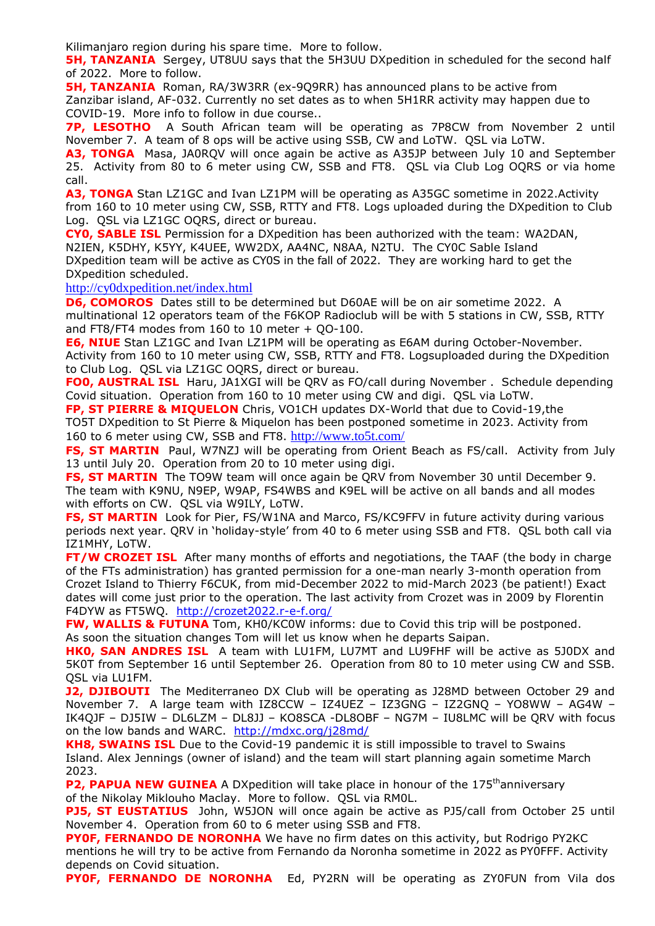Kilimanjaro region during his spare time. More to follow.

**5H, TANZANIA** Sergey, UT8UU says that the 5H3UU DXpedition in scheduled for the second half of 2022. More to follow.

**5H, TANZANIA** Roman, RA/3W3RR (ex-9Q9RR) has announced plans to be active from Zanzibar island, AF-032. Currently no set dates as to when 5H1RR activity may happen due to COVID-19. More info to follow in due course..

**7P, LESOTHO** A South African team will be operating as 7P8CW from November 2 until November 7. A team of 8 ops will be active using SSB, CW and LoTW. QSL via LoTW.

**A3, TONGA** Masa, JA0RQV will once again be active as A35JP between July 10 and September 25. Activity from 80 to 6 meter using CW, SSB and FT8. QSL via Club Log OQRS or via home call.

**A3, TONGA** Stan LZ1GC and Ivan LZ1PM will be operating as A35GC sometime in 2022.Activity from 160 to 10 meter using CW, SSB, RTTY and FT8. Logs uploaded during the DXpedition to Club Log. QSL via LZ1GC OQRS, direct or bureau.

**CY0, SABLE ISL** Permission for a DXpedition has been authorized with the team: WA2DAN, N2IEN, K5DHY, K5YY, K4UEE, WW2DX, AA4NC, N8AA, N2TU. The CY0C Sable Island DXpedition team will be active as CY0S in the fall of 2022. They are working hard to get the DXpedition scheduled.

<http://cy0dxpedition.net/index.html>

**D6, COMOROS** Dates still to be determined but D60AE will be on air sometime 2022. A multinational 12 operators team of the F6KOP Radioclub will be with 5 stations in CW, SSB, RTTY and FT8/FT4 modes from  $160$  to  $10$  meter + QO-100.

**E6, NIUE** Stan LZ1GC and Ivan LZ1PM will be operating as E6AM during October-November. Activity from 160 to 10 meter using CW, SSB, RTTY and FT8. Logsuploaded during the DXpedition to Club Log. QSL via LZ1GC OQRS, direct or bureau.

**FO0, AUSTRAL ISL** Haru, JA1XGI will be QRV as FO/call during November . Schedule depending Covid situation. Operation from 160 to 10 meter using CW and digi. QSL via LoTW.

**FP, ST PIERRE & MIQUELON** Chris, VO1CH updates DX-World that due to Covid-19,the TO5T DXpedition to St Pierre & Miquelon has been postponed sometime in 2023. Activity from 160 to 6 meter using CW, SSB and FT8. <http://www.to5t.com/>

**FS, ST MARTIN** Paul, W7NZJ will be operating from Orient Beach as FS/call. Activity from July 13 until July 20. Operation from 20 to 10 meter using digi.

**FS, ST MARTIN** The TO9W team will once again be QRV from November 30 until December 9. The team with K9NU, N9EP, W9AP, FS4WBS and K9EL will be active on all bands and all modes with efforts on CW. QSL via W9ILY, LoTW.

**FS, ST MARTIN** Look for Pier, FS/W1NA and Marco, FS/KC9FFV in future activity during various periods next year. QRV in 'holiday-style' from 40 to 6 meter using SSB and FT8. QSL both call via IZ1MHY, LoTW.

**FT/W CROZET ISL** After many months of efforts and negotiations, the TAAF (the body in charge of the FTs administration) has granted permission for a one-man nearly 3-month operation from Crozet Island to Thierry F6CUK, from mid-December 2022 to mid-March 2023 (be patient!) Exact dates will come just prior to the operation. The last activity from Crozet was in 2009 by Florentin F4DYW as FT5WQ. <http://crozet2022.r-e-f.org/>

**FW, WALLIS & FUTUNA** Tom, KH0/KC0W informs: due to Covid this trip will be postponed. As soon the situation changes Tom will let us know when he departs Saipan.

**HK0, SAN ANDRES ISL** A team with LU1FM, LU7MT and LU9FHF will be active as 5J0DX and 5K0T from September 16 until September 26. Operation from 80 to 10 meter using CW and SSB. QSL via LU1FM.

**J2, DJIBOUTI** The Mediterraneo DX Club will be operating as J28MD between October 29 and November 7. A large team with IZ8CCW – IZ4UEZ – IZ3GNG – IZ2GNQ – YO8WW – AG4W – IK4QJF – DJ5IW – DL6LZM – DL8JJ – KO8SCA -DL8OBF – NG7M – IU8LMC will be QRV with focus on the low bands and WARC. <http://mdxc.org/j28md/>

**KH8, SWAINS ISL** Due to the Covid-19 pandemic it is still impossible to travel to Swains Island. Alex Jennings (owner of island) and the team will start planning again sometime March 2023.

**P2, PAPUA NEW GUINEA** A DXpedition will take place in honour of the 175<sup>th</sup>anniversary of the Nikolay Miklouho Maclay. More to follow. QSL via RM0L.

**PJ5, ST EUSTATIUS** John, W5JON will once again be active as PJ5/call from October 25 until November 4. Operation from 60 to 6 meter using SSB and FT8.

**PY0F, FERNANDO DE NORONHA** We have no firm dates on this activity, but Rodrigo PY2KC mentions he will try to be active from Fernando da Noronha sometime in 2022 as PY0FFF. Activity depends on Covid situation.

**PY0F, FERNANDO DE NORONHA** Ed, PY2RN will be operating as ZY0FUN from Vila dos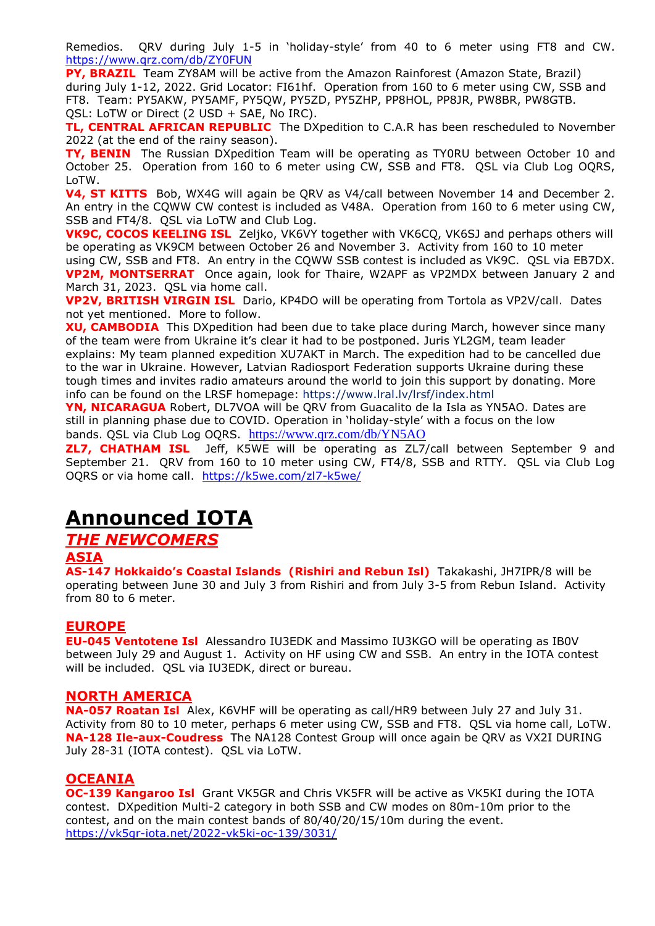Remedios. QRV during July 1-5 in 'holiday-style' from 40 to 6 meter using FT8 and CW. <https://www.qrz.com/db/ZY0FUN>

**PY, BRAZIL**Team ZY8AM will be active from the Amazon Rainforest (Amazon State, Brazil) during July 1-12, 2022. Grid Locator: FI61hf. Operation from 160 to 6 meter using CW, SSB and FT8. Team: PY5AKW, PY5AMF, PY5QW, PY5ZD, PY5ZHP, PP8HOL, PP8JR, PW8BR, PW8GTB. QSL: LoTW or Direct (2 USD + SAE, No IRC).

**TL, CENTRAL AFRICAN REPUBLIC** The DXpedition to C.A.R has been rescheduled to November 2022 (at the end of the rainy season).

**TY, BENIN** The Russian DXpedition Team will be operating as TY0RU between October 10 and October 25. Operation from 160 to 6 meter using CW, SSB and FT8. QSL via Club Log OQRS, LoTW.

**V4, ST KITTS** Bob, WX4G will again be QRV as V4/call between November 14 and December 2. An entry in the CQWW CW contest is included as V48A. Operation from 160 to 6 meter using CW, SSB and FT4/8. QSL via LoTW and Club Log.

**VK9C, COCOS KEELING ISL** Zeljko, VK6VY together with VK6CQ, VK6SJ and perhaps others will be operating as VK9CM between October 26 and November 3. Activity from 160 to 10 meter

using CW, SSB and FT8. An entry in the CQWW SSB contest is included as VK9C. QSL via EB7DX. **VP2M, MONTSERRAT** Once again, look for Thaire, W2APF as VP2MDX between January 2 and March 31, 2023. QSL via home call.

**VP2V, BRITISH VIRGIN ISL** Dario, KP4DO will be operating from Tortola as VP2V/call. Dates not yet mentioned. More to follow.

**XU, CAMBODIA** This DXpedition had been due to take place during March, however since many of the team were from Ukraine it's clear it had to be postponed. Juris YL2GM, team leader explains: My team planned expedition XU7AKT in March. The expedition had to be cancelled due to the war in Ukraine. However, Latvian Radiosport Federation supports Ukraine during these tough times and invites radio amateurs around the world to join this support by donating. More info can be found on the LRSF homepage: <https://www.lral.lv/lrsf/index.html>

**YN, NICARAGUA** Robert, DL7VOA will be QRV from Guacalito de la Isla as YN5AO. Dates are still in planning phase due to COVID. Operation in 'holiday-style' with a focus on the low bands. QSL via Club Log OQRS. <https://www.qrz.com/db/YN5AO>

**ZL7, CHATHAM ISL** Jeff, K5WE will be operating as ZL7/call between September 9 and September 21. QRV from 160 to 10 meter using CW, FT4/8, SSB and RTTY. QSL via Club Log OQRS or via home call. <https://k5we.com/zl7-k5we/>

# **Announced IOTA**

# *THE NEWCOMERS*

#### **ASIA**

**AS-147 Hokkaido's Coastal Islands (Rishiri and Rebun Isl)** Takakashi, JH7IPR/8 will be operating between June 30 and July 3 from Rishiri and from July 3-5 from Rebun Island. Activity from 80 to 6 meter.

### **EUROPE**

**EU-045 Ventotene Isl** Alessandro IU3EDK and Massimo IU3KGO will be operating as IB0V between July 29 and August 1. Activity on HF using CW and SSB. An entry in the IOTA contest will be included. QSL via IU3EDK, direct or bureau.

#### **NORTH AMERICA**

**NA-057 Roatan Isl** Alex, K6VHF will be operating as call/HR9 between July 27 and July 31. Activity from 80 to 10 meter, perhaps 6 meter using CW, SSB and FT8. QSL via home call, LoTW. **NA-128 Ile-aux-Coudress** The NA128 Contest Group will once again be QRV as VX2I DURING July 28-31 (IOTA contest). QSL via LoTW.

### **OCEANIA**

**OC-139 Kangaroo Isl** Grant VK5GR and Chris VK5FR will be active as VK5KI during the IOTA contest. DXpedition Multi-2 category in both SSB and CW modes on 80m-10m prior to the contest, and on the main contest bands of 80/40/20/15/10m during the event. <https://vk5gr-iota.net/2022-vk5ki-oc-139/3031/>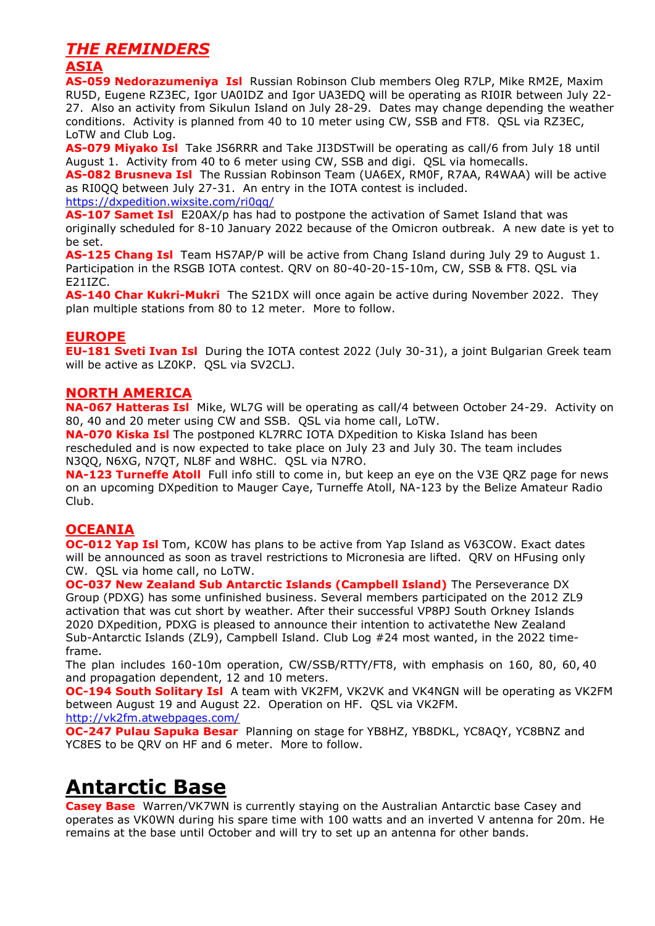## *THE REMINDERS*

## **ASIA**

**AS-059 Nedorazumeniya Isl** Russian Robinson Club members Oleg R7LP, Mike RM2E, Maxim RU5D, Eugene RZ3EC, Igor UA0IDZ and Igor UA3EDQ will be operating as RI0IR between July 22- 27. Also an activity from Sikulun Island on July 28-29. Dates may change depending the weather conditions. Activity is planned from 40 to 10 meter using CW, SSB and FT8. QSL via RZ3EC, LoTW and Club Log.

**AS-079 Miyako Isl** Take JS6RRR and Take JI3DSTwill be operating as call/6 from July 18 until August 1. Activity from 40 to 6 meter using CW, SSB and digi. QSL via homecalls. **AS-082 Brusneva Isl** The Russian Robinson Team (UA6EX, RM0F, R7AA, R4WAA) will be active as RI0QQ between July 27-31. An entry in the IOTA contest is included. <https://dxpedition.wixsite.com/ri0qq/>

**AS-107 Samet Isl** E20AX/p has had to postpone the activation of Samet Island that was originally scheduled for 8-10 January 2022 because of the Omicron outbreak. A new date is yet to be set.

**AS-125 Chang Isl** Team HS7AP/P will be active from Chang Island during July 29 to August 1. Participation in the RSGB IOTA contest. QRV on 80-40-20-15-10m, CW, SSB & FT8. QSL via E21IZC.

**AS-140 Char Kukri-Mukri** The S21DX will once again be active during November 2022. They plan multiple stations from 80 to 12 meter. More to follow.

### **EUROPE**

**EU-181 Sveti Ivan Isl** During the IOTA contest 2022 (July 30-31), a joint Bulgarian Greek team will be active as LZ0KP. QSL via SV2CLJ.

### **NORTH AMERICA**

**NA-067 Hatteras Isl** Mike, WL7G will be operating as call/4 between October 24-29. Activity on 80, 40 and 20 meter using CW and SSB. QSL via home call, LoTW.

**NA-070 Kiska Isl** The postponed KL7RRC IOTA DXpedition to Kiska Island has been rescheduled and is now expected to take place on July 23 and July 30. The team includes N3QQ, N6XG, N7QT, NL8F and W8HC. QSL via N7RO.

**NA-123 Turneffe Atoll** Full info still to come in, but keep an eye on the V3E QRZ page for news on an upcoming DXpedition to Mauger Caye, Turneffe Atoll, NA-123 by the Belize Amateur Radio Club.

### **OCEANIA**

**OC-012 Yap Isl** Tom, KC0W has plans to be active from Yap Island as V63COW. Exact dates will be announced as soon as travel restrictions to Micronesia are lifted. QRV on HFusing only CW. QSL via home call, no LoTW.

**OC-037 New Zealand Sub Antarctic Islands (Campbell Island)** The Perseverance DX Group (PDXG) has some unfinished business. Several members participated on the 2012 ZL9 activation that was cut short by weather. After their successful VP8PJ South Orkney Islands 2020 DXpedition, PDXG is pleased to announce their intention to activatethe New Zealand Sub-Antarctic Islands (ZL9), Campbell Island. Club Log #24 most wanted, in the 2022 timeframe.

The plan includes 160-10m operation, CW/SSB/RTTY/FT8, with emphasis on 160, 80, 60, 40 and propagation dependent, 12 and 10 meters.

**OC-194 South Solitary Isl** A team with VK2FM, VK2VK and VK4NGN will be operating as VK2FM between August 19 and August 22. Operation on HF. QSL via VK2FM.

<http://vk2fm.atwebpages.com/>

**OC-247 Pulau Sapuka Besar** Planning on stage for YB8HZ, YB8DKL, YC8AQY, YC8BNZ and YC8ES to be QRV on HF and 6 meter. More to follow.

# **Antarctic Base**

**Casey Base** Warren/VK7WN is currently staying on the Australian Antarctic base Casey and operates as VK0WN during his spare time with 100 watts and an inverted V antenna for 20m. He remains at the base until October and will try to set up an antenna for other bands.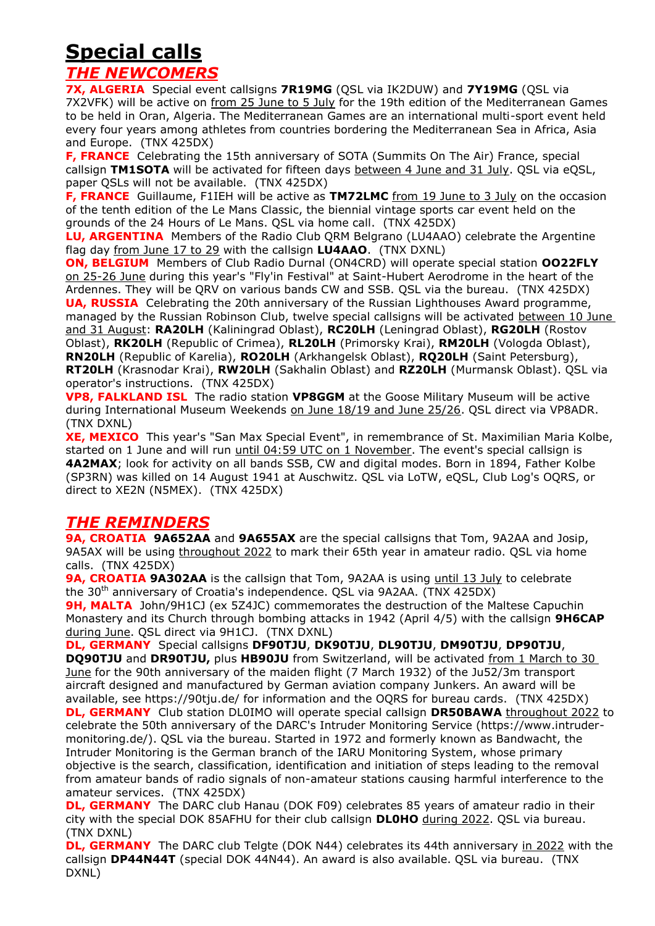# **Special calls**

## *THE NEWCOMERS*

**7X, ALGERIA** Special event callsigns **7R19MG** (QSL via IK2DUW) and **7Y19MG** (QSL via 7X2VFK) will be active on from 25 June to 5 July for the 19th edition of the Mediterranean Games to be held in Oran, Algeria. The Mediterranean Games are an international multi-sport event held every four years among athletes from countries bordering the Mediterranean Sea in Africa, Asia and Europe. (TNX 425DX)

**F, FRANCE** Celebrating the 15th anniversary of SOTA (Summits On The Air) France, special callsign **TM1SOTA** will be activated for fifteen days between 4 June and 31 July. QSL via eQSL, paper QSLs will not be available. (TNX 425DX)

**F, FRANCE** Guillaume, F1IEH will be active as **TM72LMC** from 19 June to 3 July on the occasion of the tenth edition of the Le Mans Classic, the biennial vintage sports car event held on the grounds of the 24 Hours of Le Mans. QSL via home call. (TNX 425DX)

**LU, ARGENTINA** Members of the Radio Club QRM Belgrano (LU4AAO) celebrate the Argentine flag day from June 17 to 29 with the callsign **LU4AAO**. (TNX DXNL)

**ON, BELGIUM** Members of Club Radio Durnal (ON4CRD) will operate special station **OO22FLY** on 25-26 June during this year's "Fly'in Festival" at Saint-Hubert Aerodrome in the heart of the Ardennes. They will be QRV on various bands CW and SSB. QSL via the bureau. (TNX 425DX) **UA, RUSSIA** Celebrating the 20th anniversary of the Russian Lighthouses Award programme, managed by the Russian Robinson Club, twelve special callsigns will be activated between 10 June and 31 August: **RA20LH** (Kaliningrad Oblast), **RC20LH** (Leningrad Oblast), **RG20LH** (Rostov Oblast), **RK20LH** (Republic of Crimea), **RL20LH** (Primorsky Krai), **RM20LH** (Vologda Oblast), **RN20LH** (Republic of Karelia), **RO20LH** (Arkhangelsk Oblast), **RQ20LH** (Saint Petersburg), **RT20LH** (Krasnodar Krai), **RW20LH** (Sakhalin Oblast) and **RZ20LH** (Murmansk Oblast). QSL via operator's instructions. (TNX 425DX)

**VP8, FALKLAND ISL** The radio station **VP8GGM** at the Goose Military Museum will be active during International Museum Weekends on June 18/19 and June 25/26. QSL direct via VP8ADR. (TNX DXNL)

**XE, MEXICO** This year's "San Max Special Event", in remembrance of St. Maximilian Maria Kolbe, started on 1 June and will run *until 04:59 UTC on 1 November*. The event's special callsign is **4A2MAX**; look for activity on all bands SSB, CW and digital modes. Born in 1894, Father Kolbe (SP3RN) was killed on 14 August 1941 at Auschwitz. QSL via LoTW, eQSL, Club Log's OQRS, or direct to XE2N (N5MEX). (TNX 425DX)

## *THE REMINDERS*

**9A, CROATIA 9A652AA** and **9A655AX** are the special callsigns that Tom, 9A2AA and Josip, 9A5AX will be using throughout 2022 to mark their 65th year in amateur radio. QSL via home calls. (TNX 425DX)

**9A, CROATIA 9A302AA** is the callsign that Tom, 9A2AA is using until 13 July to celebrate the 30<sup>th</sup> anniversary of Croatia's independence. QSL via 9A2AA. (TNX 425DX)

**9H, MALTA** John/9H1CJ (ex 5Z4JC) commemorates the destruction of the Maltese Capuchin Monastery and its Church through bombing attacks in 1942 (April 4/5) with the callsign **9H6CAP** during June. QSL direct via 9H1CJ. (TNX DXNL)

**DL, GERMANY** Special callsigns **DF90TJU**, **DK90TJU**, **DL90TJU**, **DM90TJU**, **DP90TJU**, **DQ90TJU** and **DR90TJU,** plus **HB90JU** from Switzerland, will be activated from 1 March to 30 June for the 90th anniversary of the maiden flight (7 March 1932) of the Ju52/3m transport aircraft designed and manufactured by German aviation company Junkers. An award will be available, see https://90tju.de/ for information and the OQRS for bureau cards. (TNX 425DX) **DL, GERMANY** Club station DL0IMO will operate special callsign **DR50BAWA** throughout 2022 to celebrate the 50th anniversary of the DARC's Intruder Monitoring Service (https://www.intrudermonitoring.de/). QSL via the bureau. Started in 1972 and formerly known as Bandwacht, the Intruder Monitoring is the German branch of the IARU Monitoring System, whose primary objective is the search, classification, identification and initiation of steps leading to the removal from amateur bands of radio signals of non-amateur stations causing harmful interference to the amateur services. (TNX 425DX)

**DL, GERMANY** The DARC club Hanau (DOK F09) celebrates 85 years of amateur radio in their city with the special DOK 85AFHU for their club callsign **DL0HO** during 2022. QSL via bureau. (TNX DXNL)

**DL, GERMANY** The DARC club Telgte (DOK N44) celebrates its 44th anniversary in 2022 with the callsign **DP44N44T** (special DOK 44N44). An award is also available. QSL via bureau. (TNX DXNL)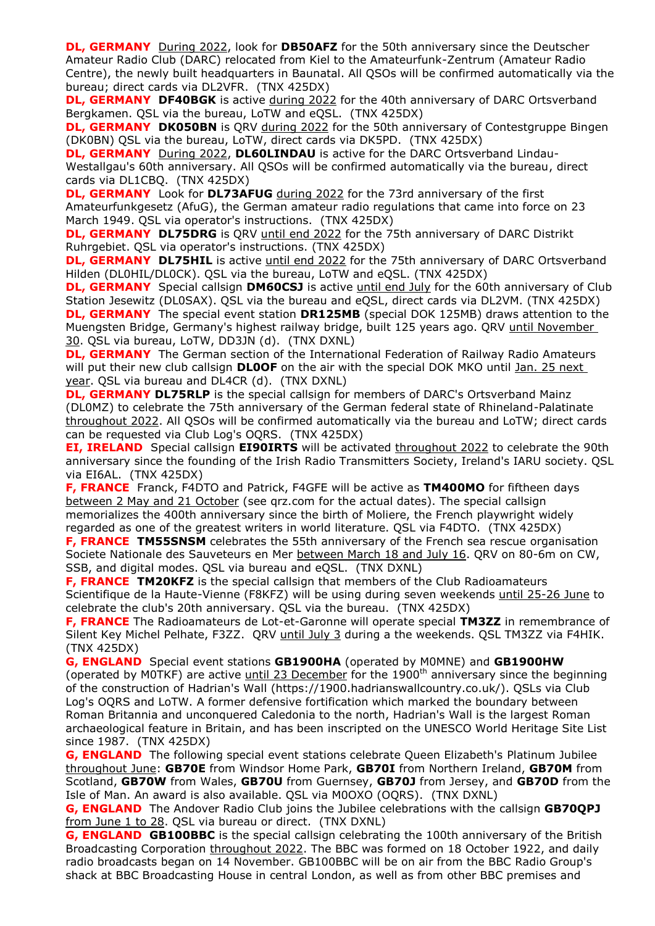**DL, GERMANY** During 2022, look for **DB50AFZ** for the 50th anniversary since the Deutscher Amateur Radio Club (DARC) relocated from Kiel to the Amateurfunk-Zentrum (Amateur Radio Centre), the newly built headquarters in Baunatal. All QSOs will be confirmed automatically via the bureau; direct cards via DL2VFR. (TNX 425DX)

**DL, GERMANY DF40BGK** is active during 2022 for the 40th anniversary of DARC Ortsverband Bergkamen. QSL via the bureau, LoTW and eQSL. (TNX 425DX)

**DL, GERMANY DK050BN** is QRV during 2022 for the 50th anniversary of Contestgruppe Bingen (DK0BN) QSL via the bureau, LoTW, direct cards via DK5PD. (TNX 425DX)

**DL, GERMANY** During 2022, **DL60LINDAU** is active for the DARC Ortsverband Lindau-Westallgau's 60th anniversary. All QSOs will be confirmed automatically via the bureau, direct cards via DL1CBQ. (TNX 425DX)

**DL, GERMANY** Look for **DL73AFUG** during 2022 for the 73rd anniversary of the first Amateurfunkgesetz (AfuG), the German amateur radio regulations that came into force on 23 March 1949. QSL via operator's instructions. (TNX 425DX)

**DL, GERMANY DL75DRG** is QRV until end 2022 for the 75th anniversary of DARC Distrikt Ruhrgebiet. QSL via operator's instructions. (TNX 425DX)

**DL, GERMANY DL75HIL** is active until end 2022 for the 75th anniversary of DARC Ortsverband Hilden (DL0HIL/DL0CK). QSL via the bureau, LoTW and eQSL. (TNX 425DX)

**DL, GERMANY** Special callsign **DM60CSJ** is active until end July for the 60th anniversary of Club Station Jesewitz (DL0SAX). QSL via the bureau and eQSL, direct cards via DL2VM. (TNX 425DX) **DL, GERMANY** The special event station **DR125MB** (special DOK 125MB) draws attention to the Muengsten Bridge, Germany's highest railway bridge, built 125 years ago. QRV until November 30. QSL via bureau, LoTW, DD3JN (d). (TNX DXNL)

**DL, GERMANY** The German section of the International Federation of Railway Radio Amateurs will put their new club callsign **DL0OF** on the air with the special DOK MKO until Jan. 25 next year. QSL via bureau and DL4CR (d). (TNX DXNL)

**DL, GERMANY DL75RLP** is the special callsign for members of DARC's Ortsverband Mainz (DL0MZ) to celebrate the 75th anniversary of the German federal state of Rhineland-Palatinate throughout 2022. All QSOs will be confirmed automatically via the bureau and LoTW; direct cards can be requested via Club Log's OQRS. (TNX 425DX)

**EI, IRELAND**Special callsign **EI90IRTS** will be activated throughout 2022 to celebrate the 90th anniversary since the founding of the Irish Radio Transmitters Society, Ireland's IARU society. QSL via EI6AL. (TNX 425DX)

**F, FRANCE** Franck, F4DTO and Patrick, F4GFE will be active as **TM400MO** for fiftheen days between 2 May and 21 October (see qrz.com for the actual dates). The special callsign memorializes the 400th anniversary since the birth of Moliere, the French playwright widely regarded as one of the greatest writers in world literature. QSL via F4DTO. (TNX 425DX)

**F, FRANCE TM55SNSM** celebrates the 55th anniversary of the French sea rescue organisation Societe Nationale des Sauveteurs en Mer between March 18 and July 16. QRV on 80-6m on CW, SSB, and digital modes. QSL via bureau and eQSL. (TNX DXNL)

**F, FRANCE TM20KFZ** is the special callsign that members of the Club Radioamateurs Scientifique de la Haute-Vienne (F8KFZ) will be using during seven weekends until 25-26 June to celebrate the club's 20th anniversary. QSL via the bureau. (TNX 425DX)

**F, FRANCE** The Radioamateurs de Lot-et-Garonne will operate special **TM3ZZ** in remembrance of Silent Key Michel Pelhate, F3ZZ. QRV until July 3 during a the weekends. QSL TM3ZZ via F4HIK. (TNX 425DX)

**G, ENGLAND** Special event stations **GB1900HA** (operated by M0MNE) and **GB1900HW** (operated by M0TKF) are active until 23 December for the 1900<sup>th</sup> anniversary since the beginning of the construction of Hadrian's Wall (https://1900.hadrianswallcountry.co.uk/). QSLs via Club Log's OQRS and LoTW. A former defensive fortification which marked the boundary between Roman Britannia and unconquered Caledonia to the north, Hadrian's Wall is the largest Roman archaeological feature in Britain, and has been inscripted on the UNESCO World Heritage Site List since 1987. (TNX 425DX)

**G, ENGLAND** The following special event stations celebrate Queen Elizabeth's Platinum Jubilee throughout June: **GB70E** from Windsor Home Park, **GB70I** from Northern Ireland, **GB70M** from Scotland, **GB70W** from Wales, **GB70U** from Guernsey, **GB70J** from Jersey, and **GB70D** from the Isle of Man. An award is also available. QSL via M0OXO (OQRS). (TNX DXNL)

**G, ENGLAND** The Andover Radio Club joins the Jubilee celebrations with the callsign **GB70QPJ** from June 1 to 28. QSL via bureau or direct. (TNX DXNL)

**G, ENGLAND GB100BBC** is the special callsign celebrating the 100th anniversary of the British Broadcasting Corporation throughout 2022. The BBC was formed on 18 October 1922, and daily radio broadcasts began on 14 November. GB100BBC will be on air from the BBC Radio Group's shack at BBC Broadcasting House in central London, as well as from other BBC premises and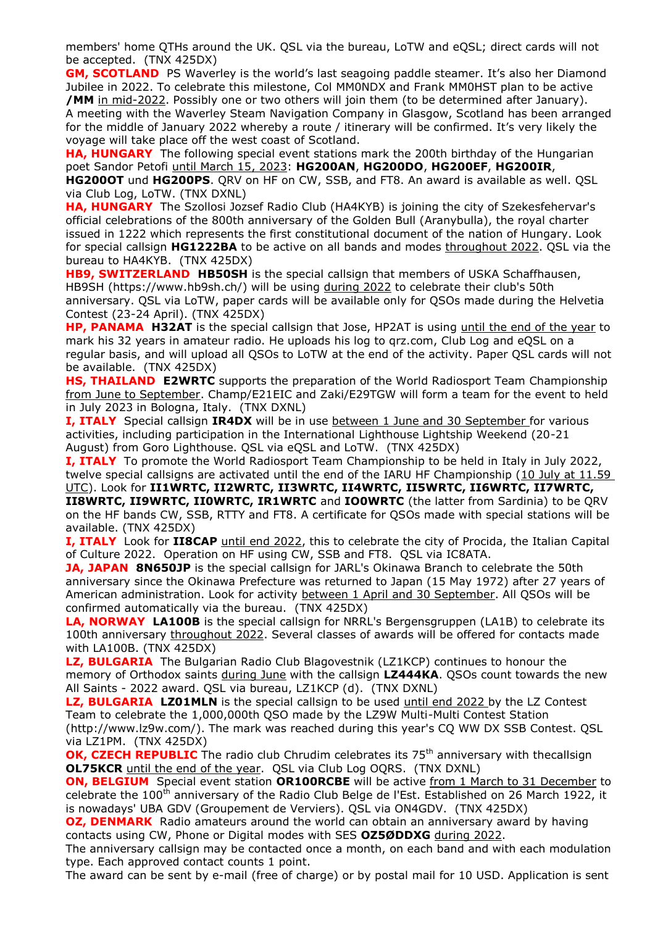members' home QTHs around the UK. QSL via the bureau, LoTW and eQSL; direct cards will not be accepted. (TNX 425DX)

**GM, SCOTLAND** PS Waverley is the world's last seagoing paddle steamer. It's also her Diamond Jubilee in 2022. To celebrate this milestone, Col MM0NDX and Frank MM0HST plan to be active **/MM** in mid-2022. Possibly one or two others will join them (to be determined after January). A meeting with the Waverley Steam Navigation Company in Glasgow, Scotland has been arranged for the middle of January 2022 whereby a route / itinerary will be confirmed. It's very likely the voyage will take place off the west coast of Scotland.

**HA, HUNGARY** The following special event stations mark the 200th birthday of the Hungarian poet Sandor Petofi until March 15, 2023: **HG200AN**, **HG200DO**, **HG200EF**, **HG200IR**, **HG200OT** und **HG200PS**. QRV on HF on CW, SSB, and FT8. An award is available as well. QSL via Club Log, LoTW. (TNX DXNL)

**HA, HUNGARY** The Szollosi Jozsef Radio Club (HA4KYB) is joining the city of Szekesfehervar's official celebrations of the 800th anniversary of the Golden Bull (Aranybulla), the royal charter issued in 1222 which represents the first constitutional document of the nation of Hungary. Look for special callsign **HG1222BA** to be active on all bands and modes throughout 2022. QSL via the bureau to HA4KYB. (TNX 425DX)

**HB9, SWITZERLAND HB50SH** is the special callsign that members of USKA Schaffhausen, HB9SH (https://www.hb9sh.ch/) will be using during 2022 to celebrate their club's 50th anniversary. QSL via LoTW, paper cards will be available only for QSOs made during the Helvetia Contest (23-24 April). (TNX 425DX)

**HP, PANAMA H32AT** is the special callsign that Jose, HP2AT is using until the end of the year to mark his 32 years in amateur radio. He uploads his log to qrz.com, Club Log and eQSL on a regular basis, and will upload all QSOs to LoTW at the end of the activity. Paper QSL cards will not be available. (TNX 425DX)

**HS, THAILAND E2WRTC** supports the preparation of the World Radiosport Team Championship from June to September. Champ/E21EIC and Zaki/E29TGW will form a team for the event to held in July 2023 in Bologna, Italy. (TNX DXNL)

**I, ITALY** Special callsign **IR4DX** will be in use between 1 June and 30 September for various activities, including participation in the International Lighthouse Lightship Weekend (20-21 August) from Goro Lighthouse. QSL via eQSL and LoTW. (TNX 425DX)

**I, ITALY** To promote the World Radiosport Team Championship to be held in Italy in July 2022, twelve special callsigns are activated until the end of the IARU HF Championship (10 July at 11.59 UTC). Look for **II1WRTC, II2WRTC, II3WRTC, II4WRTC, II5WRTC, II6WRTC, II7WRTC, II8WRTC, II9WRTC, II0WRTC, IR1WRTC** and **IO0WRTC** (the latter from Sardinia) to be QRV on the HF bands CW, SSB, RTTY and FT8. A certificate for QSOs made with special stations will be available. (TNX 425DX)

**I, ITALY** Look for II8CAP until end 2022, this to celebrate the city of Procida, the Italian Capital of Culture 2022. Operation on HF using CW, SSB and FT8. QSL via IC8ATA.

**JA, JAPAN 8N650JP** is the special callsign for JARL's Okinawa Branch to celebrate the 50th anniversary since the Okinawa Prefecture was returned to Japan (15 May 1972) after 27 years of American administration. Look for activity between 1 April and 30 September. All QSOs will be confirmed automatically via the bureau. (TNX 425DX)

**LA, NORWAY LA100B** is the special callsign for NRRL's Bergensgruppen (LA1B) to celebrate its 100th anniversary throughout 2022. Several classes of awards will be offered for contacts made with LA100B. (TNX 425DX)

**LZ, BULGARIA** The Bulgarian Radio Club Blagovestnik (LZ1KCP) continues to honour the memory of Orthodox saints during June with the callsign **LZ444KA**. QSOs count towards the new All Saints - 2022 award. QSL via bureau, LZ1KCP (d). (TNX DXNL)

**LZ, BULGARIA LZ01MLN** is the special callsign to be used until end 2022 by the LZ Contest Team to celebrate the 1,000,000th QSO made by the LZ9W Multi-Multi Contest Station (http://www.lz9w.com/). The mark was reached during this year's CQ WW DX SSB Contest. QSL via LZ1PM. (TNX 425DX)

**OK, CZECH REPUBLIC** The radio club Chrudim celebrates its 75<sup>th</sup> anniversary with thecallsign **OL75KCR** until the end of the year. QSL via Club Log OQRS. (TNX DXNL)

**ON, BELGIUM** Special event station OR100RCBE will be active from 1 March to 31 December to celebrate the 100<sup>th</sup> anniversary of the Radio Club Belge de l'Est. Established on 26 March 1922, it is nowadays' UBA GDV (Groupement de Verviers). QSL via ON4GDV. (TNX 425DX)

**OZ, DENMARK** Radio amateurs around the world can obtain an anniversary award by having contacts using CW, Phone or Digital modes with SES **OZ5ØDDXG** during 2022.

The anniversary callsign may be contacted once a month, on each band and with each modulation type. Each approved contact counts 1 point.

The award can be sent by e-mail (free of charge) or by postal mail for 10 USD. Application is sent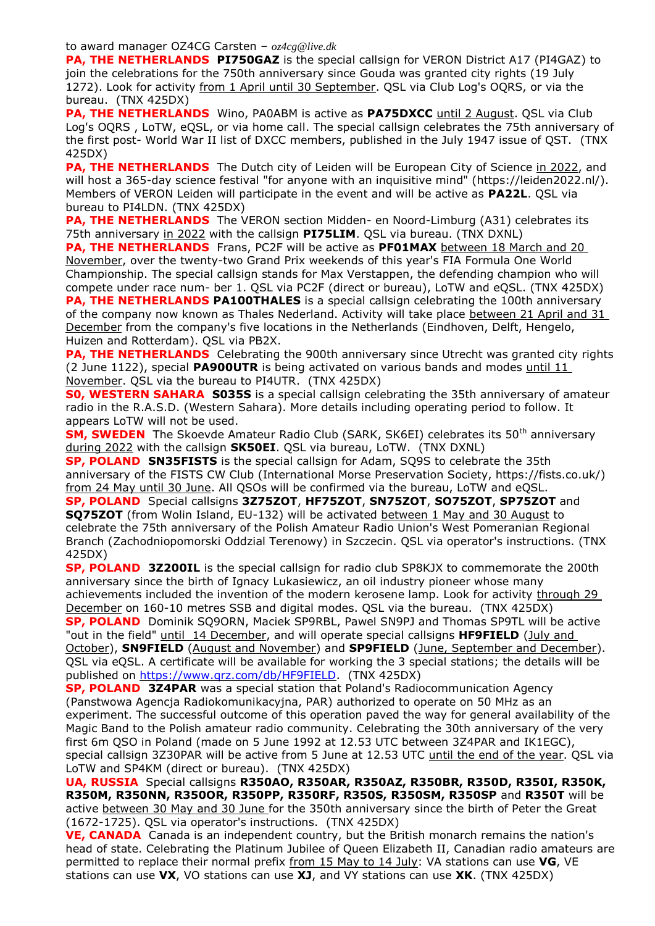to award manager OZ4CG Carsten – *oz4cg@live.dk*

**PA, THE NETHERLANDS PI750GAZ** is the special callsign for VERON District A17 (PI4GAZ) to join the celebrations for the 750th anniversary since Gouda was granted city rights (19 July 1272). Look for activity from 1 April until 30 September. QSL via Club Log's OQRS, or via the bureau. (TNX 425DX)

**PA, THE NETHERLANDS** Wino, PA0ABM is active as **PA75DXCC** until 2 August. QSL via Club Log's OQRS , LoTW, eQSL, or via home call. The special callsign celebrates the 75th anniversary of the first post- World War II list of DXCC members, published in the July 1947 issue of QST. (TNX 425DX)

**PA, THE NETHERLANDS** The Dutch city of Leiden will be European City of Science in 2022, and will host a 365-day science festival "for anyone with an inquisitive mind" (https://leiden2022.nl/). Members of VERON Leiden will participate in the event and will be active as **PA22L**. QSL via bureau to PI4LDN. (TNX 425DX)

**PA, THE NETHERLANDS** The VERON section Midden- en Noord-Limburg (A31) celebrates its 75th anniversary in 2022 with the callsign **PI75LIM**. QSL via bureau. (TNX DXNL)

**PA, THE NETHERLANDS** Frans, PC2F will be active as **PF01MAX** between 18 March and 20 November, over the twenty-two Grand Prix weekends of this year's FIA Formula One World Championship. The special callsign stands for Max Verstappen, the defending champion who will compete under race num- ber 1. QSL via PC2F (direct or bureau), LoTW and eQSL. (TNX 425DX) **PA, THE NETHERLANDS PA100THALES** is a special callsign celebrating the 100th anniversary

of the company now known as Thales Nederland. Activity will take place between 21 April and 31 December from the company's five locations in the Netherlands (Eindhoven, Delft, Hengelo, Huizen and Rotterdam). QSL via PB2X.

**PA, THE NETHERLANDS** Celebrating the 900th anniversary since Utrecht was granted city rights (2 June 1122), special **PA900UTR** is being activated on various bands and modes until 11 November. QSL via the bureau to PI4UTR. (TNX 425DX)

**S0, WESTERN SAHARA S035S** is a special callsign celebrating the 35th anniversary of amateur radio in the R.A.S.D. (Western Sahara). More details including operating period to follow. It appears LoTW will not be used.

**SM, SWEDEN** The Skoevde Amateur Radio Club (SARK, SK6EI) celebrates its 50<sup>th</sup> anniversary during 2022 with the callsign **SK50EI**. QSL via bureau, LoTW. (TNX DXNL)

**SP, POLAND SN35FISTS** is the special callsign for Adam, SQ9S to celebrate the 35th anniversary of the FISTS CW Club (International Morse Preservation Society, https://fists.co.uk/) from 24 May until 30 June. All QSOs will be confirmed via the bureau, LoTW and eQSL.

**SP, POLAND** Special callsigns **3Z75ZOT**, **HF75ZOT**, **SN75ZOT**, **SO75ZOT**, **SP75ZOT** and **SQ75ZOT** (from Wolin Island, EU-132) will be activated between 1 May and 30 August to celebrate the 75th anniversary of the Polish Amateur Radio Union's West Pomeranian Regional Branch (Zachodniopomorski Oddzial Terenowy) in Szczecin. QSL via operator's instructions. (TNX 425DX)

**SP, POLAND 3Z200IL** is the special callsign for radio club SP8KJX to commemorate the 200th anniversary since the birth of Ignacy Lukasiewicz, an oil industry pioneer whose many achievements included the invention of the modern kerosene lamp. Look for activity through 29 December on 160-10 metres SSB and digital modes. QSL via the bureau. (TNX 425DX) **SP, POLAND** Dominik SQ9ORN, Maciek SP9RBL, Pawel SN9PJ and Thomas SP9TL will be active "out in the field" until 14 December, and will operate special callsigns **HF9FIELD** (July and

October), **SN9FIELD** (August and November) and **SP9FIELD** (June, September and December). QSL via eQSL. A certificate will be available for working the 3 special stations; the details will be published on [https://www.qrz.com/db/HF9FIELD.](https://www.qrz.com/db/HF9FIELD) (TNX 425DX)

**SP, POLAND 3Z4PAR** was a special station that Poland's Radiocommunication Agency (Panstwowa Agencja Radiokomunikacyjna, PAR) authorized to operate on 50 MHz as an experiment. The successful outcome of this operation paved the way for general availability of the Magic Band to the Polish amateur radio community. Celebrating the 30th anniversary of the very first 6m QSO in Poland (made on 5 June 1992 at 12.53 UTC between 3Z4PAR and IK1EGC), special callsign 3Z30PAR will be active from 5 June at 12.53 UTC until the end of the year. QSL via LoTW and SP4KM (direct or bureau). (TNX 425DX)

**UA, RUSSIA** Special callsigns **R350AO, R350AR, R350AZ, R350BR, R350D, R350I, R350K, R350M, R350NN, R350OR, R350PP, R350RF, R350S, R350SM, R350SP** and **R350T** will be active between 30 May and 30 June for the 350th anniversary since the birth of Peter the Great (1672-1725). QSL via operator's instructions. (TNX 425DX)

**VE, CANADA** Canada is an independent country, but the British monarch remains the nation's head of state. Celebrating the Platinum Jubilee of Queen Elizabeth II, Canadian radio amateurs are permitted to replace their normal prefix from 15 May to 14 July: VA stations can use **VG**, VE stations can use **VX**, VO stations can use **XJ**, and VY stations can use **XK**. (TNX 425DX)